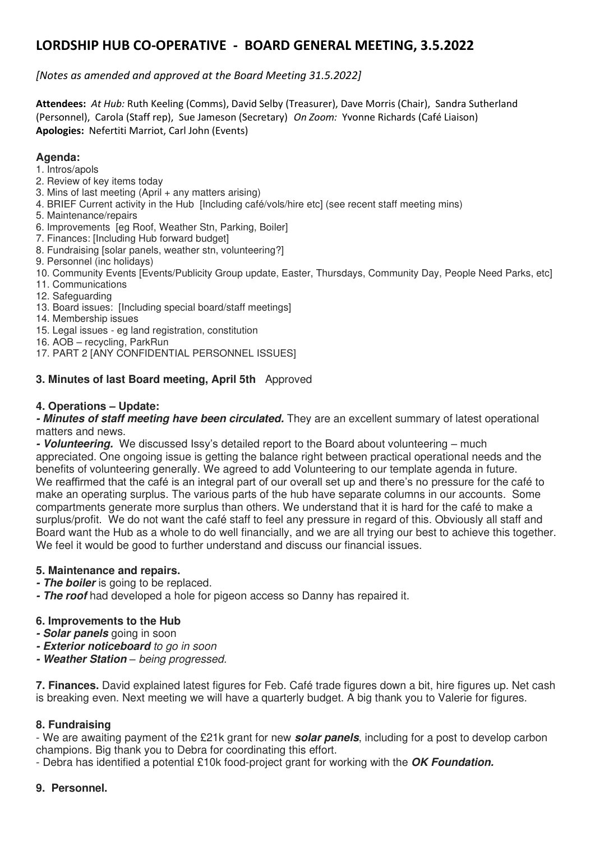# **LORDSHIP HUB CO-OPERATIVE - BOARD GENERAL MEETING, 3.5.2022**

## *[Notes as amended and approved at the Board Meeting 31.5.2022]*

**Attendees:** *At Hub:* Ruth Keeling (Comms), David Selby (Treasurer), Dave Morris (Chair), Sandra Sutherland (Personnel), Carola (Staff rep), Sue Jameson (Secretary) *On Zoom:* Yvonne Richards (Café Liaison) **Apologies:** Nefertiti Marriot, Carl John (Events)

## **Agenda:**

- 1. Intros/apols
- 2. Review of key items today
- 3. Mins of last meeting (April + any matters arising)
- 4. BRIEF Current activity in the Hub [Including café/vols/hire etc] (see recent staff meeting mins)
- 5. Maintenance/repairs
- 6. Improvements [eg Roof, Weather Stn, Parking, Boiler]
- 7. Finances: [Including Hub forward budget]
- 8. Fundraising [solar panels, weather stn, volunteering?]
- 9. Personnel (inc holidays)
- 10. Community Events [Events/Publicity Group update, Easter, Thursdays, Community Day, People Need Parks, etc]
- 11. Communications
- 12. Safeguarding
- 13. Board issues: [Including special board/staff meetings]
- 14. Membership issues
- 15. Legal issues eg land registration, constitution
- 16. AOB recycling, ParkRun
- 17. PART 2 [ANY CONFIDENTIAL PERSONNEL ISSUES]

## **3. Minutes of last Board meeting, April 5th** Approved

#### **4. Operations – Update:**

**- Minutes of staff meeting have been circulated.** They are an excellent summary of latest operational matters and news.

**- Volunteering.** We discussed Issy's detailed report to the Board about volunteering – much appreciated. One ongoing issue is getting the balance right between practical operational needs and the benefits of volunteering generally. We agreed to add Volunteering to our template agenda in future. We reaffirmed that the café is an integral part of our overall set up and there's no pressure for the café to make an operating surplus. The various parts of the hub have separate columns in our accounts. Some compartments generate more surplus than others. We understand that it is hard for the café to make a surplus/profit. We do not want the café staff to feel any pressure in regard of this. Obviously all staff and Board want the Hub as a whole to do well financially, and we are all trying our best to achieve this together. We feel it would be good to further understand and discuss our financial issues.

#### **5. Maintenance and repairs.**

- **The boiler** is going to be replaced.
- **The roof** had developed a hole for pigeon access so Danny has repaired it.

#### **6. Improvements to the Hub**

- **Solar panels** going in soon
- **Exterior noticeboard** to go in soon
- **Weather Station** *–* being progressed.

**7. Finances.** David explained latest figures for Feb. Café trade figures down a bit, hire figures up. Net cash is breaking even. Next meeting we will have a quarterly budget. A big thank you to Valerie for figures.

#### **8. Fundraising**

- We are awaiting payment of the £21k grant for new **solar panels**, including for a post to develop carbon champions. Big thank you to Debra for coordinating this effort.

- Debra has identified a potential £10k food-project grant for working with the **OK Foundation.** 

#### **9. Personnel.**